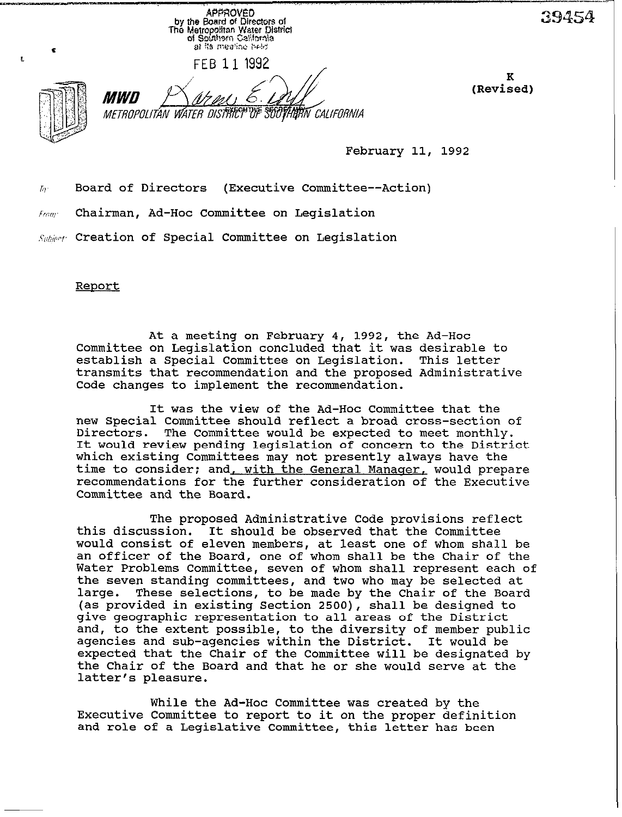approved by the Board of Directors of The Metropolitan Water District<br>of Southern California at its mealing beld FEB 11 1992 K **(Revited)**  *MWD* **METROPOLITAN WATER DISTRICT OF SUOTHERN CALIFORNIA** 

February 11, 1992

 $\bar{h}_r$  Board of Directors (Executive Committee--Action)

 $F_{T\cap T}$  Chairman, Ad-Hoc Committee on Legislation

Subject: Creation of Special Committee on Legislation

Report

ŧ.

At a meeting on February 4, 1992, the Ad-Hoc Committee on Legislation concluded that it was desirable to establish a Special Committee on Legislation. This letter transmits that recommendation and the proposed Administrative Code changes to implement the recommendation.

It was the view of the Ad-Hoc Committee that the new Special Committee should reflect a broad cross-section of Directors. The Committee would be expected to meet monthly. It would review pending legislation of concern to the District which existing Committees may not presently always have the time to consider; and with the General Manager, would prepare recommendations for the further consideration of the Executive Committee and the Board.

The proposed Administrative Code provisions reflect this discussion. It should be observed that the Committee would consist of eleven members, at least one of whom shall be an officer of the Board, one of whom shall be the Chair of the Water Problems Committee, seven of whom shall represent each of the seven standing committees, and two who may be selected at<br>large. These selections, to be made by the Chair of the Board These selections, to be made by the Chair of the Board (as provided in existing Section 2500), shall be designed to give geographic representation to all areas of the District and, to the extent possible, to the diversity of member public agencies and sub-agencies within the District. It would be expected that the Chair of the Committee will be designated by the Chair of the Board and that he or she would serve at the latter's pleasure.

While the Ad-Hoc Committee was created by the Executive Committee to report to it on the proper definition and role of a Legislative Committee, this letter has been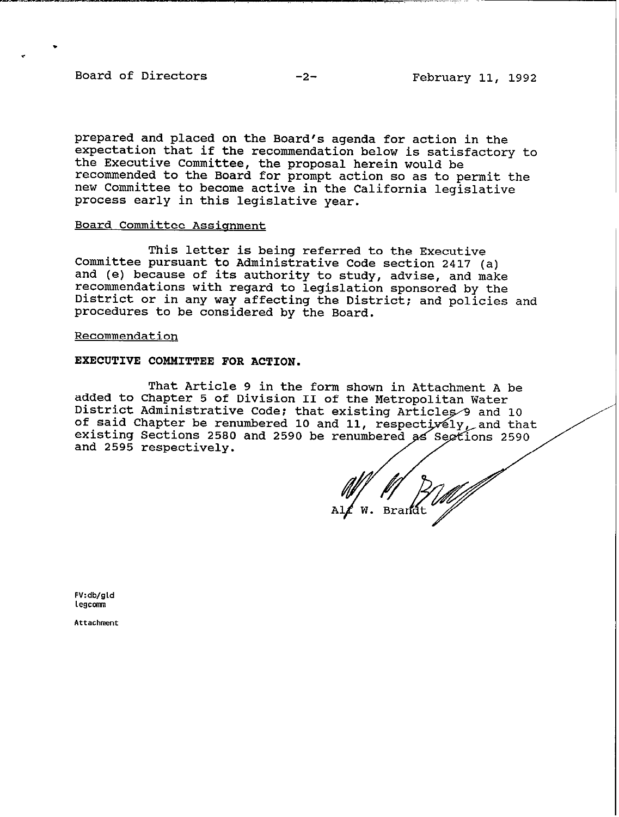Board of Directors -2- February 11, 1992

.

.

**prepared and placed on the Board's agenda for action in the expectation that if the recommendation below is satisfactory to the Executive Committee, the proposal herein would be recommended to the Board for prompt action so as to permit the new Committee to become active in the California legislative process early in this legislative year.** 

## **Board Committee Assionment**

**This letter is being referred to the Executive Committee pursuant to Administrative Code section 2417 (a) and (e) because of its authority to study, advise, and make recommendations with regard to legislation sponsored by the District or in any way affecting the District: and policies and procedures to be considered by the Board.** 

### **Recommendation**

# **EXECUTIVE COMMITTEE FOR ACTION.**

**That Article 9 in the form shown in Attachment A be added to Chapter 5 of Division II of the Metropolitan Water**  District Administrative Code; that existing Articles 9 and 10 of said Chapter be renumbered 10 and 11, respect*ively,* and that **existing Sections 2580 and 2590 be and 2595 respectively.** 

Brandt

**FV:db/gld Legcomn** 

**Attachment**